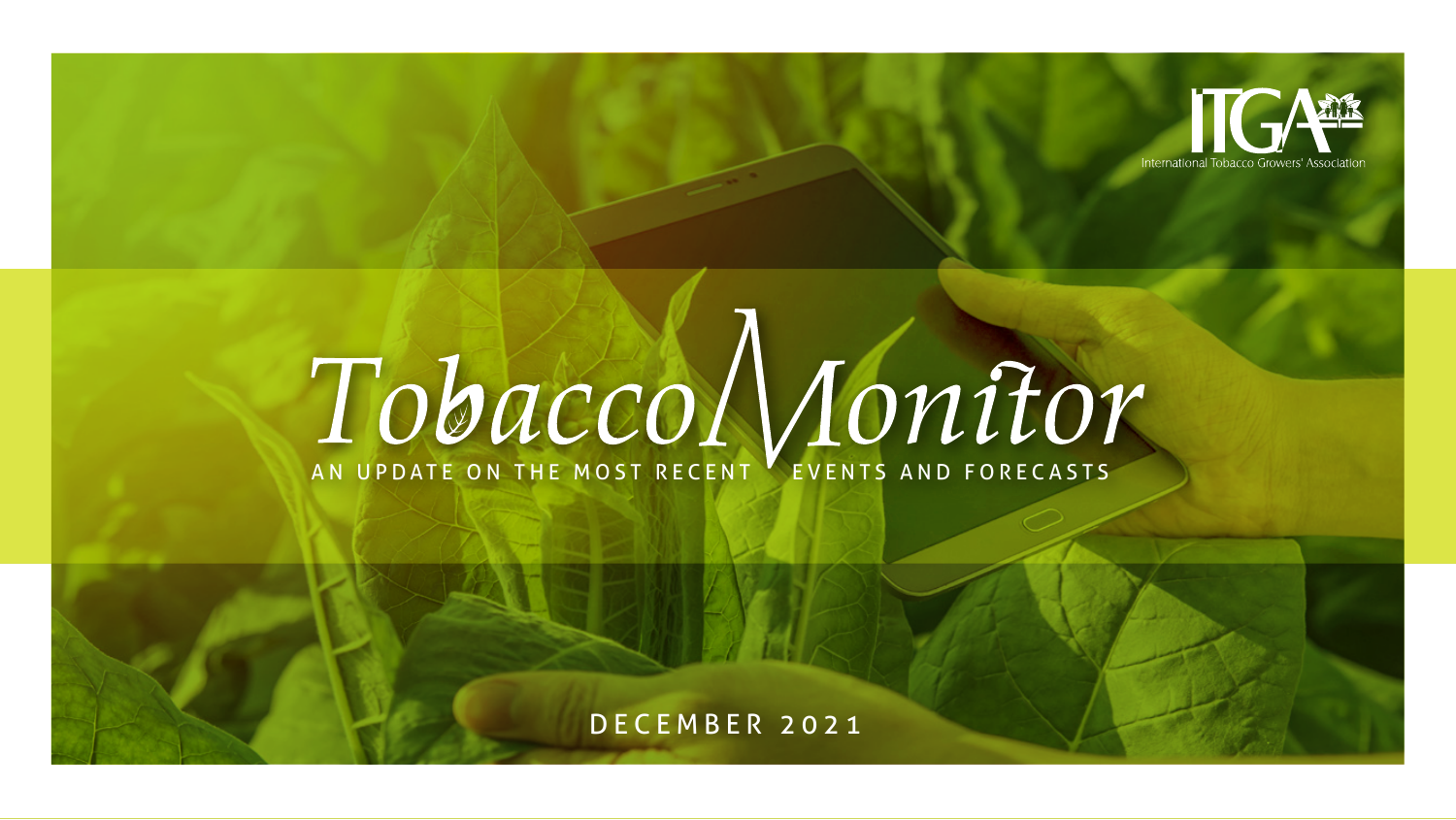

# **TOBACCO MONITOR**

DECEMBER 2021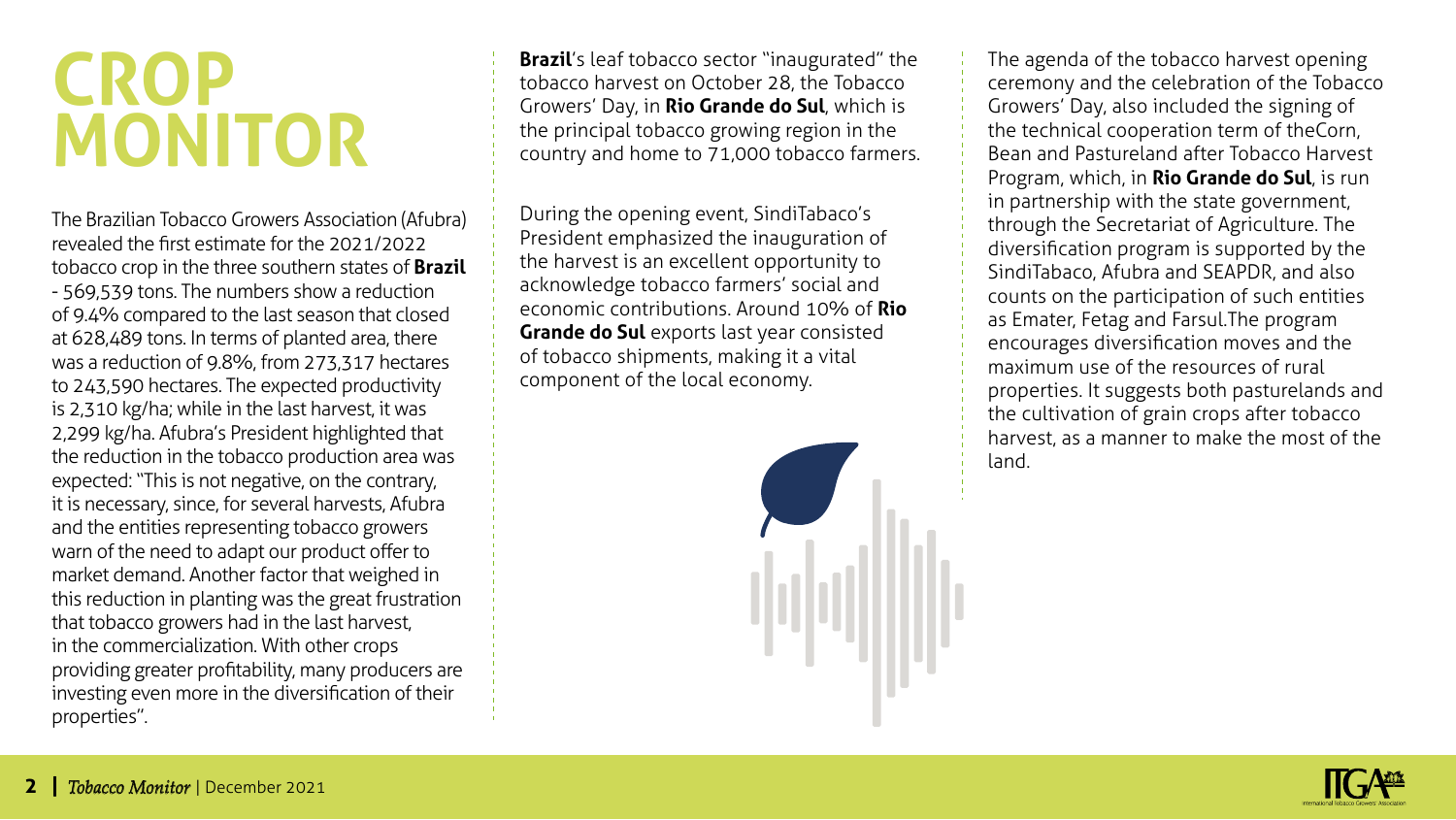### **Crop Monitor**

The Brazilian Tobacco Growers Association (Afubra) revealed the first estimate for the 2021/2022 tobacco crop in the three southern states of **Brazil**  - 569,539 tons. The numbers show a reduction of 9.4% compared to the last season that closed at 628,489 tons. In terms of planted area, there was a reduction of 9.8%, from 273,317 hectares to 243,590 hectares. The expected productivity is 2,310 kg/ha; while in the last harvest, it was 2,299 kg/ha. Afubra's President highlighted that the reduction in the tobacco production area was expected: "This is not negative, on the contrary, it is necessary, since, for several harvests, Afubra and the entities representing tobacco growers warn of the need to adapt our product offer to market demand. Another factor that weighed in this reduction in planting was the great frustration that tobacco growers had in the last harvest, in the commercialization. With other crops providing greater profitability, many producers are investing even more in the diversification of their properties".

**Brazil's leaf tobacco sector "inaugurated" the** tobacco harvest on October 28, the Tobacco Growers' Day, in **Rio Grande do Sul**, which is the principal tobacco growing region in the country and home to 71,000 tobacco farmers.

During the opening event, SindiTabaco's President emphasized the inauguration of the harvest is an excellent opportunity to acknowledge tobacco farmers' social and economic contributions. Around 10% of **Rio Grande do Sul** exports last year consisted of tobacco shipments, making it a vital component of the local economy.



The agenda of the tobacco harvest opening ceremony and the celebration of the Tobacco Growers' Day, also included the signing of the technical cooperation term of the Corn, Bean and Pastureland after Tobacco Harvest Program, which, in **Rio Grande do Sul**, is run in partnership with the state government, through the Secretariat of Agriculture. The diversification program is supported by the SindiTabaco, Afubra and SEAPDR, and also counts on the participation of such entities as Emater, Fetag and Farsul. The program encourages diversification moves and the maximum use of the resources of rural properties. It suggests both pasturelands and the cultivation of grain crops after tobacco harvest, as a manner to make the most of the land.

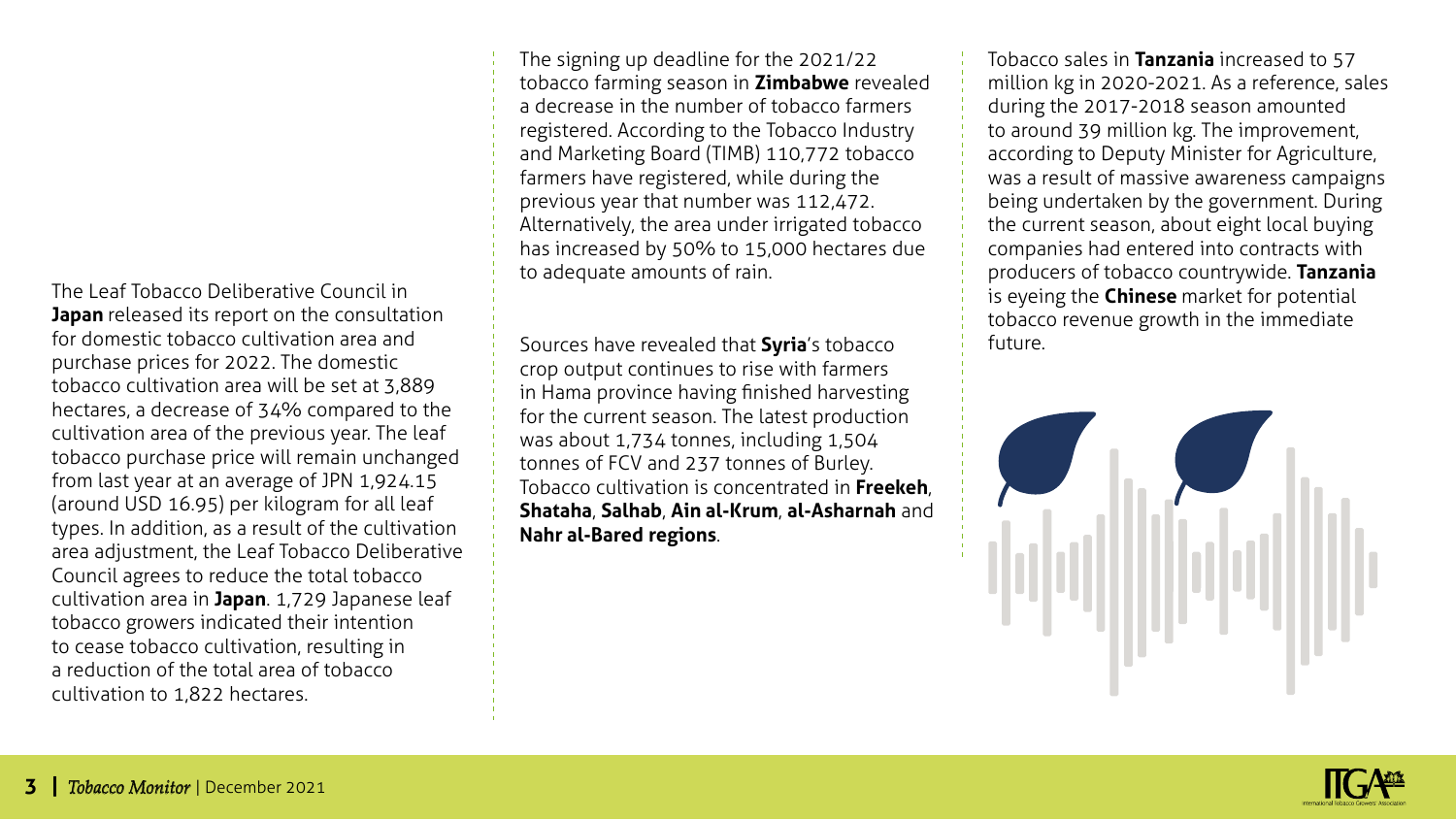The Leaf Tobacco Deliberative Council in **Japan** released its report on the consultation for domestic tobacco cultivation area and purchase prices for 2022. The domestic tobacco cultivation area will be set at 3,889 hectares, a decrease of 34% compared to the cultivation area of the previous year. The leaf tobacco purchase price will remain unchanged from last year at an average of JPN 1,924.15 (around USD 16.95) per kilogram for all leaf types. In addition, as a result of the cultivation area adjustment, the Leaf Tobacco Deliberative Council agrees to reduce the total tobacco cultivation area in **Japan**. 1,729 Japanese leaf tobacco growers indicated their intention to cease tobacco cultivation, resulting in a reduction of the total area of tobacco cultivation to 1,822 hectares.

The signing up deadline for the 2021/22 tobacco farming season in **Zimbabwe** revealed a decrease in the number of tobacco farmers registered. According to the Tobacco Industry and Marketing Board (TIMB) 110,772 tobacco farmers have registered, while during the previous year that number was 112,472. Alternatively, the area under irrigated tobacco has increased by 50% to 15,000 hectares due to adequate amounts of rain.

Sources have revealed that **Syria**'s tobacco crop output continues to rise with farmers in Hama province having finished harvesting for the current season. The latest production was about 1,734 tonnes, including 1,504 tonnes of FCV and 237 tonnes of Burley. Tobacco cultivation is concentrated in **Freekeh**, **Shataha**, **Salhab**, **Ain al-Krum**, **al-Asharnah** and **Nahr al-Bared regions**.

Tobacco sales in **Tanzania** increased to 57 million kg in 2020-2021. As a reference, sales during the 2017-2018 season amounted to around 39 million kg. The improvement, according to Deputy Minister for Agriculture, was a result of massive awareness campaigns being undertaken by the government. During the current season, about eight local buying companies had entered into contracts with producers of tobacco countrywide. **Tanzania**  is eyeing the **Chinese** market for potential tobacco revenue growth in the immediate future.



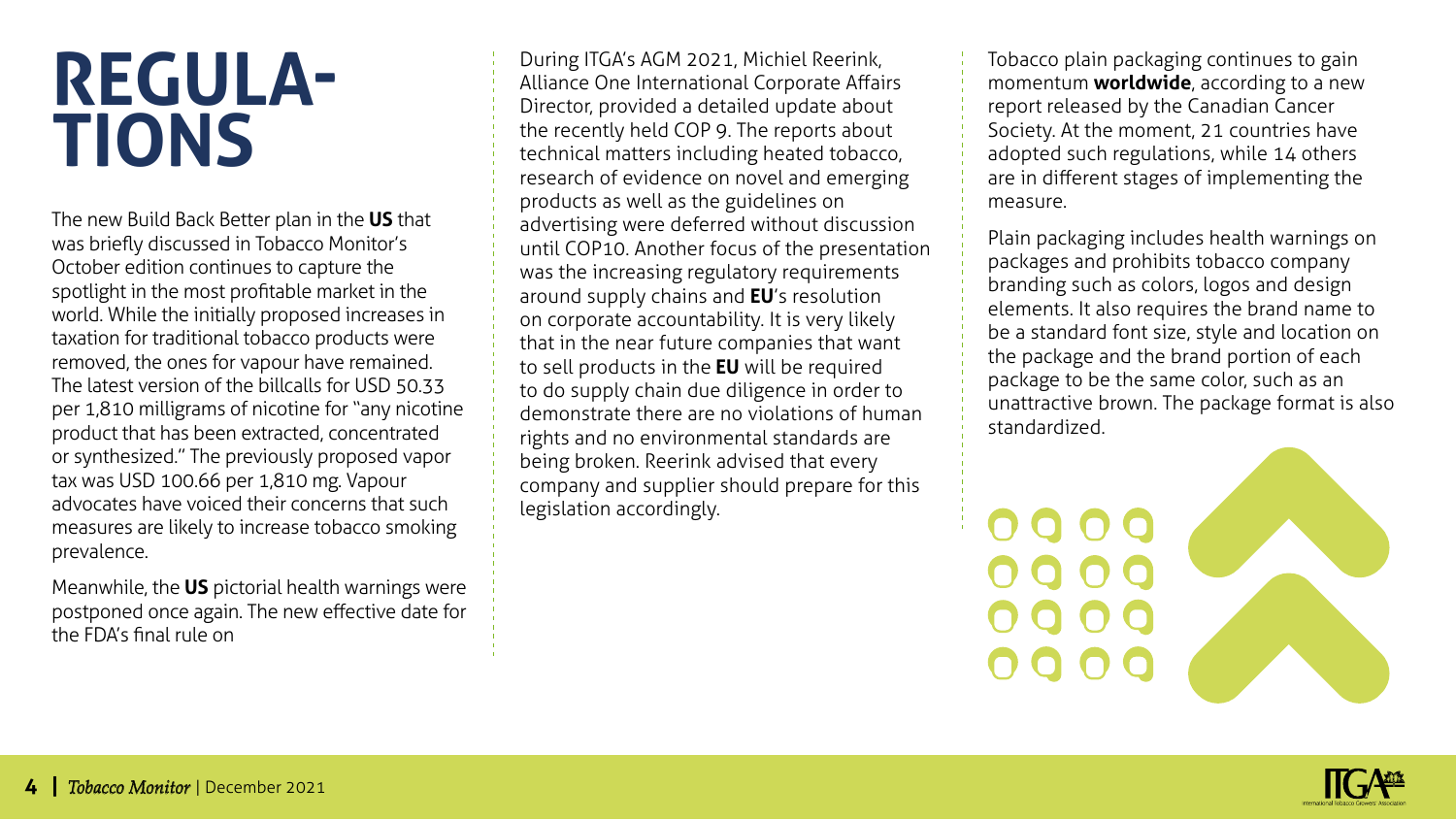#### **Regulations**

The new Build Back Better plan in the **US** that was briefly discussed in Tobacco Monitor's October edition continues to capture the spotlight in the most profitable market in the world. While the initially proposed increases in taxation for traditional tobacco products were removed, the ones for vapour have remained. The latest version of the bill calls for USD 50.33 per 1,810 milligrams of nicotine for "any nicotine product that has been extracted, concentrated or synthesized." The previously proposed vapor tax was USD 100.66 per 1,810 mg. Vapour advocates have voiced their concerns that such measures are likely to increase tobacco smoking prevalence.

Meanwhile, the **US** pictorial health warnings were postponed once again. The new effective date for the FDA's final rule on

During ITGA's AGM 2021, Michiel Reerink, Alliance One International Corporate Affairs Director, provided a detailed update about the recently held COP 9. The reports about technical matters including heated tobacco, research of evidence on novel and emerging products as well as the guidelines on advertising were deferred without discussion until COP10. Another focus of the presentation was the increasing regulatory requirements around supply chains and **EU**'s resolution on corporate accountability. It is very likely that in the near future companies that want to sell products in the **EU** will be required to do supply chain due diligence in order to demonstrate there are no violations of human rights and no environmental standards are being broken. Reerink advised that every company and supplier should prepare for this legislation accordingly.

Tobacco plain packaging continues to gain momentum **worldwide**, according to a new report released by the Canadian Cancer Society. At the moment, 21 countries have adopted such regulations, while 14 others are in different stages of implementing the measure.

Plain packaging includes health warnings on packages and prohibits tobacco company branding such as colors, logos and design elements. It also requires the brand name to be a standard font size, style and location on the package and the brand portion of each package to be the same color, such as an unattractive brown. The package format is also standardized.



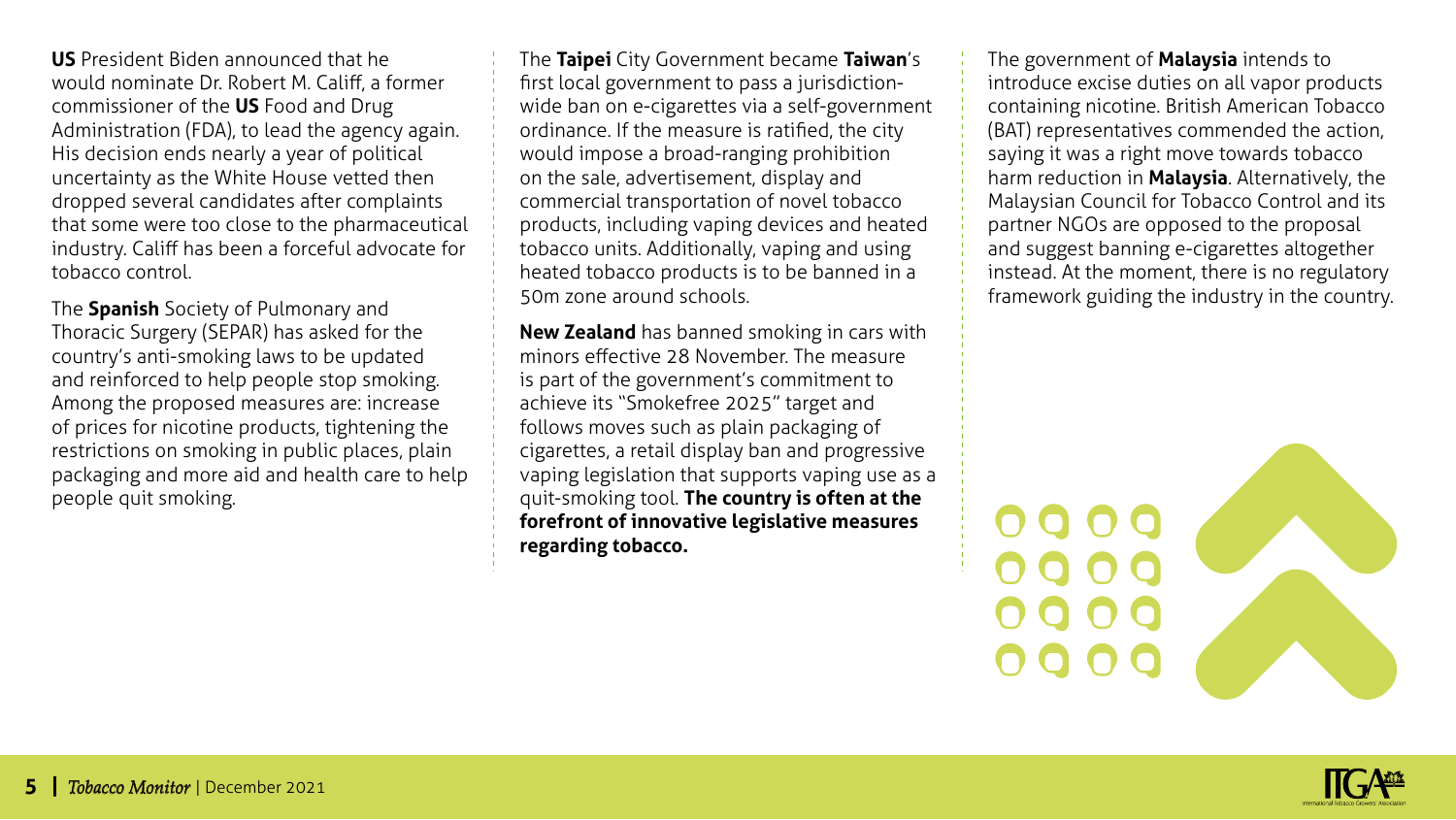**US** President Biden announced that he would nominate Dr. Robert M. Califf, a former commissioner of the **US** Food and Drug Administration (FDA), to lead the agency again. His decision ends nearly a year of political uncertainty as the White House vetted then dropped several candidates after complaints that some were too close to the pharmaceutical industry. Califf has been a forceful advocate for tobacco control.

The **Spanish** Society of Pulmonary and Thoracic Surgery (SEPAR) has asked for the country's anti-smoking laws to be updated and reinforced to help people stop smoking. Among the proposed measures are: increase of prices for nicotine products, tightening the restrictions on smoking in public places, plain packaging and more aid and health care to help people quit smoking.

The **Taipei** City Government became **Taiwan**'s first local government to pass a jurisdictionwide ban on e-cigarettes via a self-government ordinance. If the measure is ratified, the city would impose a broad-ranging prohibition on the sale, advertisement, display and commercial transportation of novel tobacco products, including vaping devices and heated tobacco units. Additionally, vaping and using heated tobacco products is to be banned in a 50m zone around schools.

**New Zealand** has banned smoking in cars with minors effective 28 November. The measure is part of the government's commitment to achieve its "Smokefree 2025" target and follows moves such as plain packaging of cigarettes, a retail display ban and progressive vaping legislation that supports vaping use as a quit-smoking tool. **The country is often at the forefront of innovative legislative measures regarding tobacco.**

The government of **Malaysia** intends to introduce excise duties on all vapor products containing nicotine. British American Tobacco (BAT) representatives commended the action, saying it was a right move towards tobacco harm reduction in **Malaysia**. Alternatively, the Malaysian Council for Tobacco Control and its partner NGOs are opposed to the proposal and suggest banning e-cigarettes altogether instead. At the moment, there is no regulatory framework guiding the industry in the country.



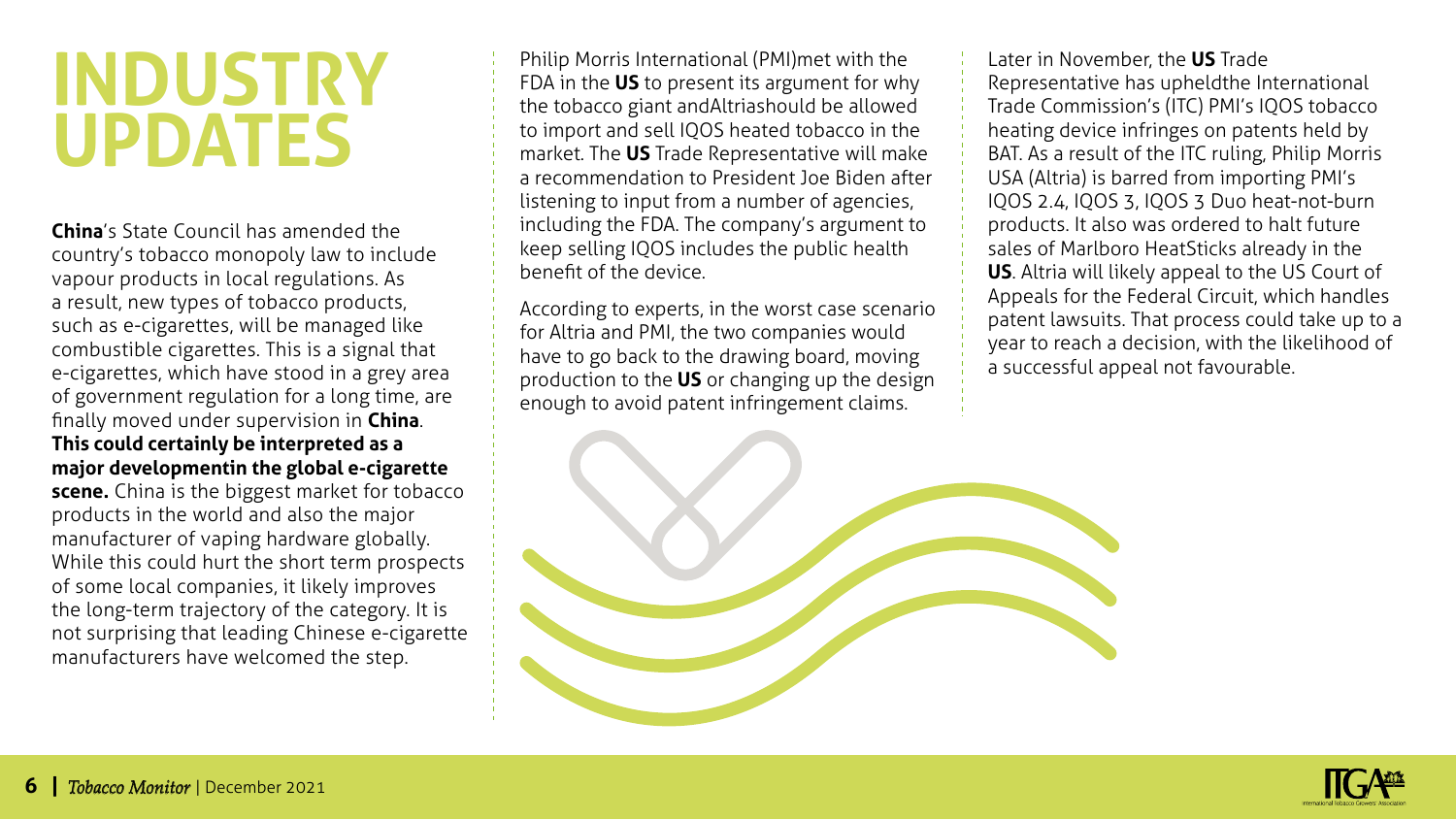#### **Industry Updates**

**China**'s State Council has amended the country's tobacco monopoly law to include vapour products in local regulations. As a result, new types of tobacco products, such as e-cigarettes, will be managed like combustible cigarettes. This is a signal that e-cigarettes, which have stood in a grey area of government regulation for a long time, are finally moved under supervision in **China**. **This could certainly be interpreted as a major developmentin the global e-cigarette scene.** China is the biggest market for tobacco products in the world and also the major manufacturer of vaping hardware globally. While this could hurt the short term prospects of some local companies, it likely improves the long-term trajectory of the category. It is not surprising that leading Chinese e-cigarette manufacturers have welcomed the step.

Philip Morris International (PMI) met with the FDA in the **US** to present its argument for why the tobacco giant and Altriashould be allowed to import and sell IQOS heated tobacco in the market. The **US** Trade Representative will make a recommendation to President Joe Biden after listening to input from a number of agencies, including the FDA. The company's argument to keep selling IQOS includes the public health benefit of the device.

According to experts, in the worst case scenario for Altria and PMI, the two companies would have to go back to the drawing board, moving production to the **US** or changing up the design enough to avoid patent infringement claims.

Later in November, the **US** Trade Representative has upheld the International Trade Commission's (ITC) PMI's IQOS tobacco heating device infringes on patents held by BAT. As a result of the ITC ruling, Philip Morris USA (Altria) is barred from importing PMI's IQOS 2.4, IQOS 3, IQOS 3 Duo heat-not-burn products. It also was ordered to halt future sales of Marlboro HeatSticks already in the **US**. Altria will likely appeal to the US Court of Appeals for the Federal Circuit, which handles patent lawsuits. That process could take up to a year to reach a decision, with the likelihood of a successful appeal not favourable.



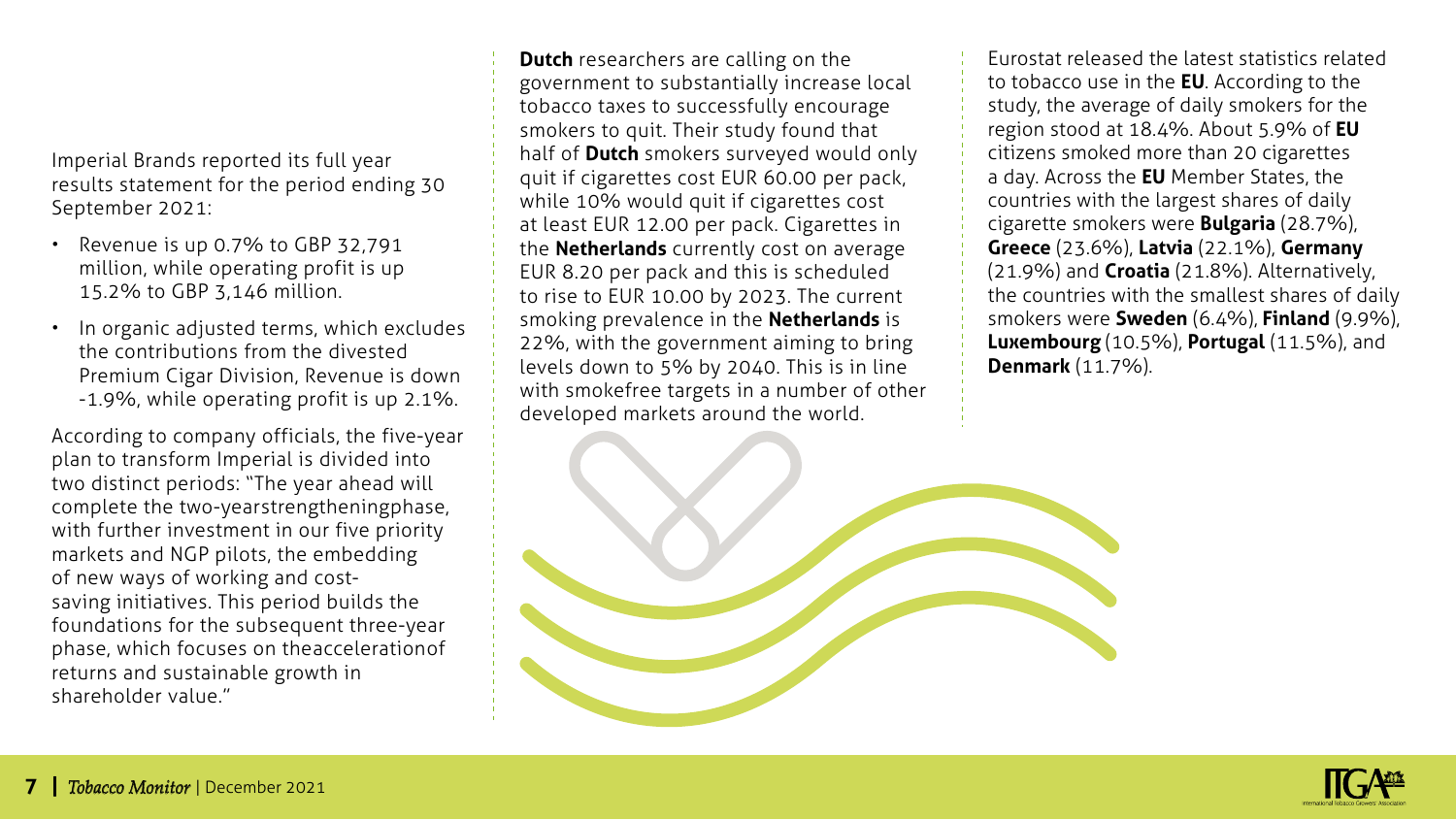plan to transform Imperial is divided into two distinct periods: "The year ahead will

September 2021:

Imperial Brands reported its full year

results statement for the period ending 30

• Revenue is up 0.7% to GBP 32,791 million, while operating profit is up

the contributions from the divested

• In organic adjusted terms, which excludes

Premium Cigar Division, Revenue is down -1.9%, while operating profit is up 2.1%.

According to company officials, the five-year

15.2% to GBP 3,146 million.

complete the two-yearstrengthening phase, with further investment in our five priority markets and NGP pilots, the embedding of new ways of working and costsaving initiatives. This period builds the foundations for the subsequent three-year phase, which focuses on the acceleration of returns and sustainable growth in shareholder value."

**Dutch** researchers are calling on the government to substantially increase local tobacco taxes to successfully encourage smokers to quit. Their study found that half of **Dutch** smokers surveyed would only quit if cigarettes cost EUR 60.00 per pack, while 10% would quit if cigarettes cost at least EUR 12.00 per pack. Cigarettes in the **Netherlands** currently cost on average EUR 8.20 per pack and this is scheduled to rise to EUR 10.00 by 2023. The current smoking prevalence in the **Netherlands** is 22%, with the government aiming to bring levels down to 5% by 2040. This is in line with smokefree targets in a number of other developed markets around the world.

Eurostat released the latest statistics related to tobacco use in the **EU**. According to the study, the average of daily smokers for the region stood at 18.4%. About 5.9% of **EU** citizens smoked more than 20 cigarettes a day. Across the **EU** Member States, the countries with the largest shares of daily cigarette smokers were **Bulgaria** (28.7%), **Greece** (23.6%), **Latvia** (22.1%), **Germany** (21.9%) and **Croatia** (21.8%). Alternatively, the countries with the smallest shares of daily smokers were **Sweden** (6.4%), **Finland** (9.9%), **Luxembourg** (10.5%), **Portugal** (11.5%), and **Denmark** (11.7%).



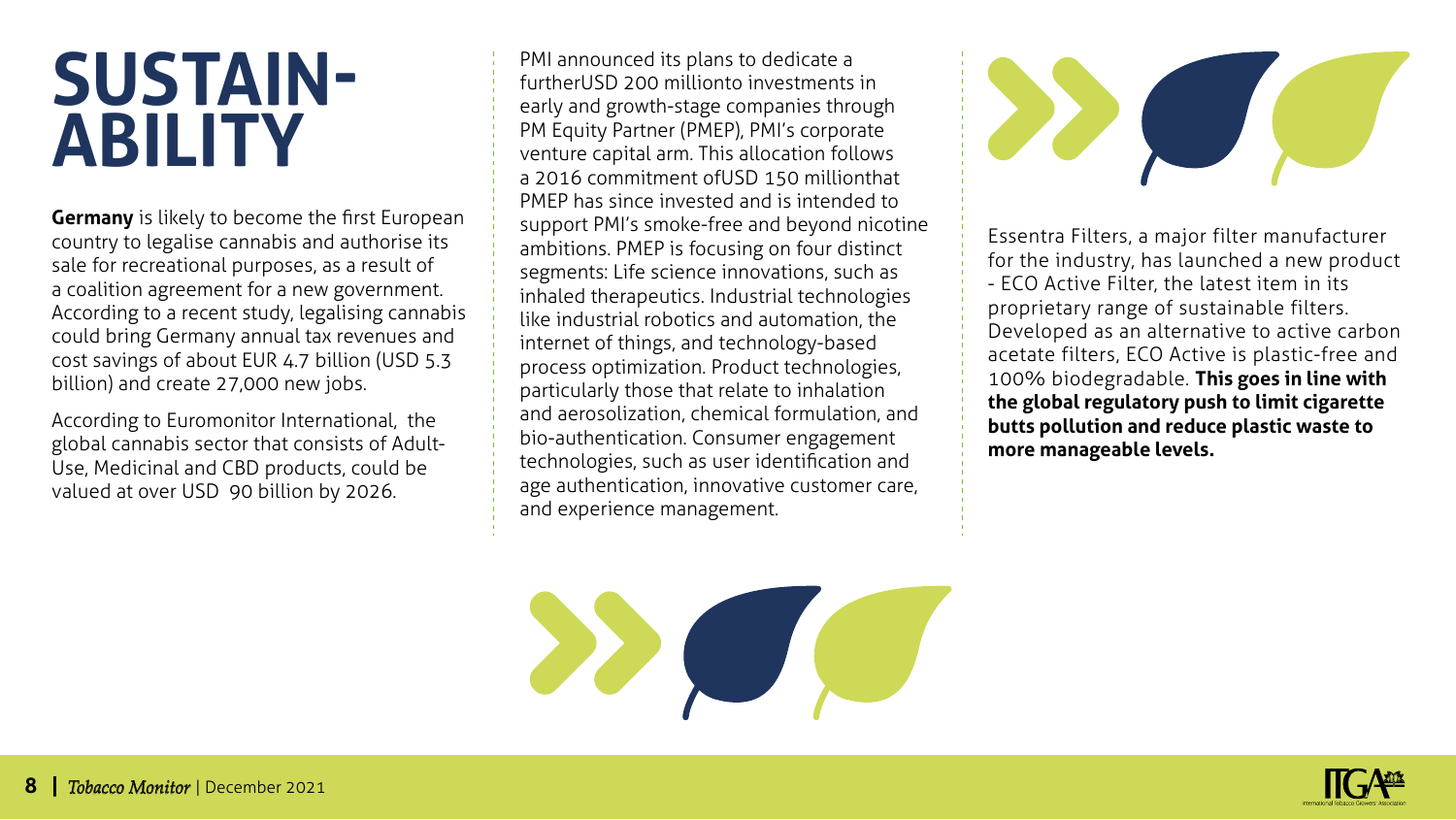#### **Sustainability**

**Germany** is likely to become the first European country to legalise cannabis and authorise its sale for recreational purposes, as a result of a coalition agreement for a new government. According to a recent study, legalising cannabis could bring Germany annual tax revenues and cost savings of about EUR 4.7 billion (USD 5.3 billion) and create 27,000 new jobs.

According to Euromonitor International, the global cannabis sector that consists of Adult-Use, Medicinal and CBD products, could be valued at over USD 90 billion by 2026.

PMI announced its plans to dedicate a further USD 200 million to investments in early and growth-stage companies through PM Equity Partner (PMEP), PMI's corporate venture capital arm. This allocation follows a 2016 commitment of USD 150 million that PMEP has since invested and is intended to support PMI's smoke-free and beyond nicotine ambitions. PMEP is focusing on four distinct segments: Life science innovations, such as inhaled therapeutics. Industrial technologies like industrial robotics and automation, the internet of things, and technology-based process optimization. Product technologies, particularly those that relate to inhalation and aerosolization, chemical formulation, and bio-authentication. Consumer engagement technologies, such as user identification and age authentication, innovative customer care, and experience management.

22 July 19



Essentra Filters, a major filter manufacturer for the industry, has launched a new product - ECO Active Filter, the latest item in its proprietary range of sustainable filters. Developed as an alternative to active carbon acetate filters, ECO Active is plastic-free and 100% biodegradable. **This goes in line with the global regulatory push to limit cigarette butts pollution and reduce plastic waste to more manageable levels.** 

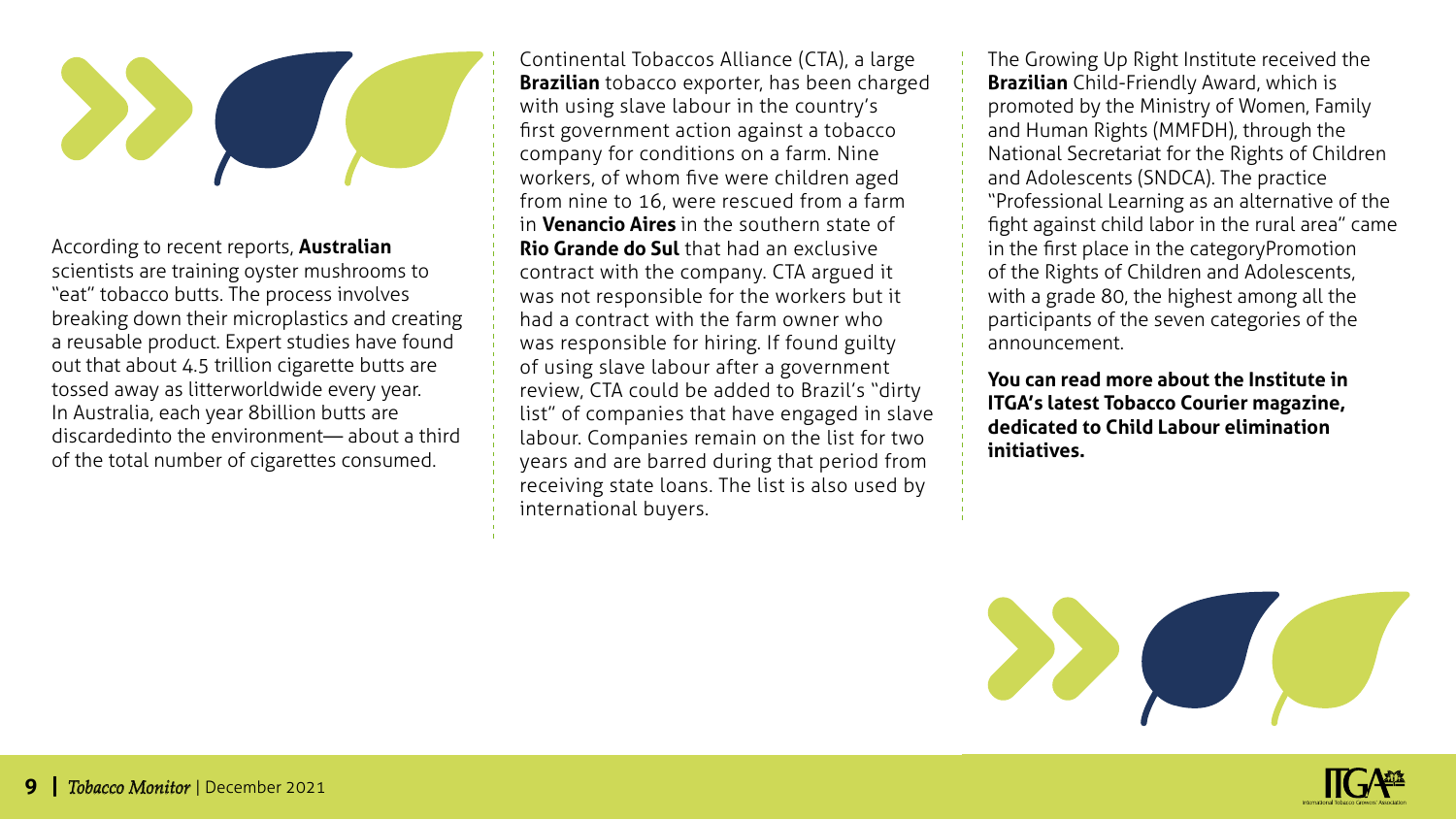

According to recent reports, **Australian** scientists are training oyster mushrooms to "eat" tobacco butts. The process involves breaking down their microplastics and creating a reusable product. Expert studies have found out that about 4.5 trillion cigarette butts are tossed away as litterworldwide every year. In Australia, each year 8 billion butts are discarded into the environment— about a third of the total number of cigarettes consumed.

Continental Tobaccos Alliance (CTA), a large **Brazilian** tobacco exporter, has been charged with using slave labour in the country's first government action against a tobacco company for conditions on a farm. Nine workers, of whom five were children aged from nine to 16, were rescued from a farm in **Venancio Aires** in the southern state of **Rio Grande do Sul** that had an exclusive contract with the company. CTA argued it was not responsible for the workers but it had a contract with the farm owner who was responsible for hiring. If found guilty of using slave labour after a government review, CTA could be added to Brazil's "dirty list" of companies that have engaged in slave labour. Companies remain on the list for two years and are barred during that period from receiving state loans. The list is also used by international buyers.

The Growing Up Right Institute received the **Brazilian** Child-Friendly Award, which is promoted by the Ministry of Women, Family and Human Rights (MMFDH), through the National Secretariat for the Rights of Children and Adolescents (SNDCA). The practice "Professional Learning as an alternative of the fight against child labor in the rural area" came in the first place in the category Promotion of the Rights of Children and Adolescents, with a grade 80, the highest among all the participants of the seven categories of the announcement.

**You can read more about the Institute in ITGA's latest Tobacco Courier magazine, dedicated to Child Labour elimination initiatives.**



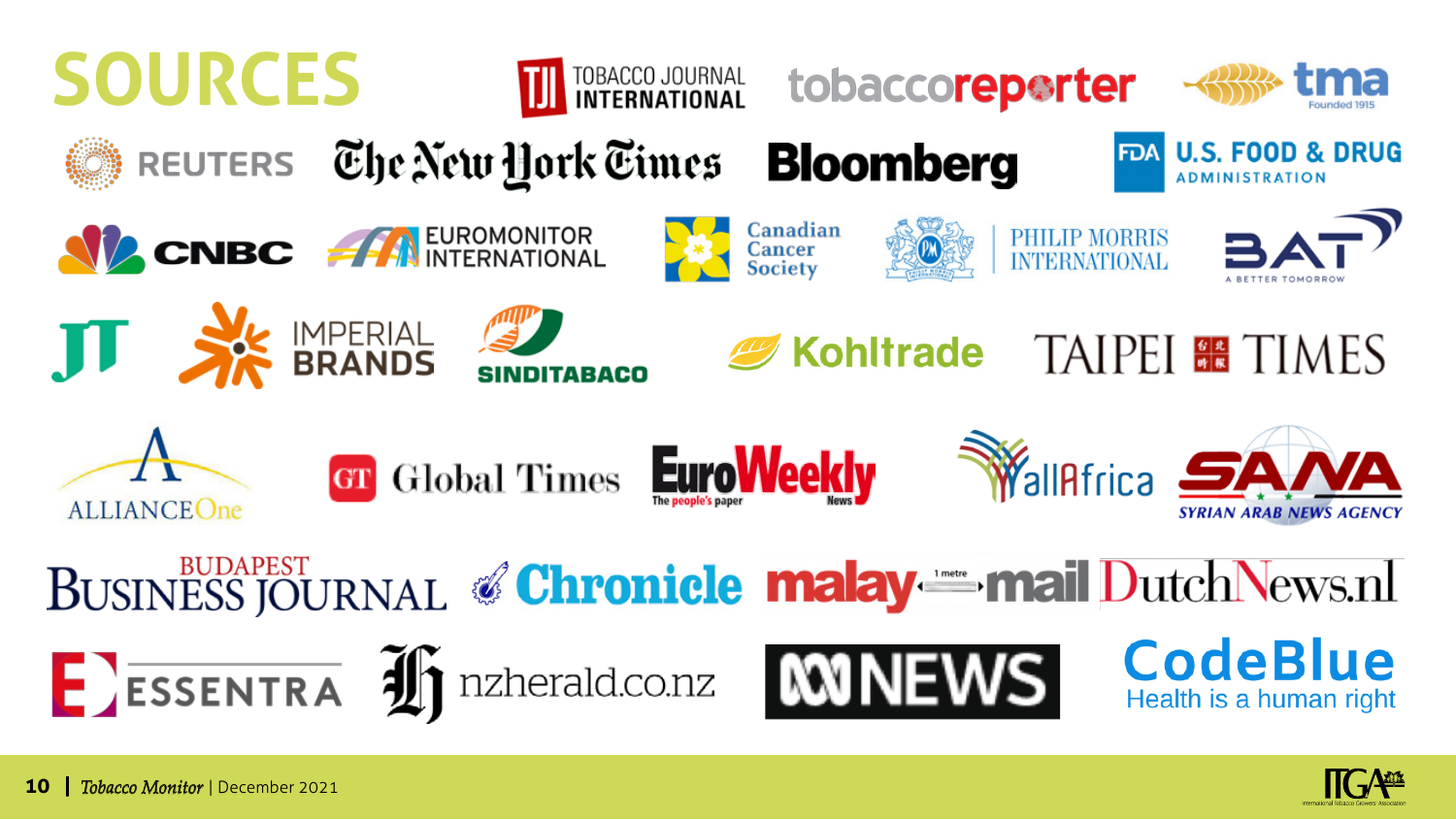